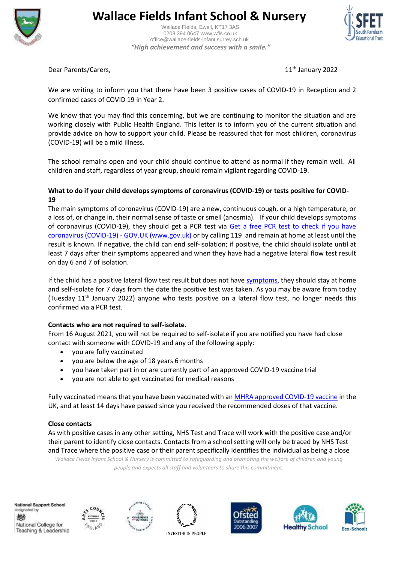

# **Wallace Fields Infant School & Nursery**

 Wallace Fields, Ewell, KT17 3AS 0208 394 0647 www.wfis.co.uk office@wallace-fields-infant.surrey.sch.uk  *"High achievement and success with a smile."*



Dear Parents/Carers, 11th January 2022

We are writing to inform you that there have been 3 positive cases of COVID-19 in Reception and 2 confirmed cases of COVID 19 in Year 2.

We know that you may find this concerning, but we are continuing to monitor the situation and are working closely with Public Health England. This letter is to inform you of the current situation and provide advice on how to support your child. Please be reassured that for most children, coronavirus (COVID-19) will be a mild illness.

The school remains open and your child should continue to attend as normal if they remain well. All children and staff, regardless of year group, should remain vigilant regarding COVID-19.

### **What to do if your child develops symptoms of coronavirus (COVID-19) or tests positive for COVID-19**

The main symptoms of coronavirus (COVID-19) are a new, continuous cough, or a high temperature, or a loss of, or change in, their normal sense of taste or smell (anosmia). If your child develops symptoms of coronavirus (COVID-19), they should get a PCR test via [Get a free PCR test to check if you have](https://www.gov.uk/get-coronavirus-test)  [coronavirus \(COVID-19\) -](https://www.gov.uk/get-coronavirus-test) GOV.UK (www.gov.uk) or by calling 119 and remain at home at least until the result is known. If negative, the child can end self-isolation; if positive, the child should isolate until at least 7 days after their symptoms appeared and when they have had a negative lateral flow test result on day 6 and 7 of isolation.

If the child has a positive lateral flow test result but does not have [symptoms,](https://www.gov.uk/government/publications/covid-19-stay-at-home-guidance/stay-at-home-guidance-for-households-with-possible-coronavirus-covid-19-infection#symptoms) they should stay at home and self-isolate for 7 days from the date the positive test was taken. As you may be aware from today (Tuesday 11th January 2022) anyone who tests positive on a lateral flow test, no longer needs this confirmed via a PCR test.

#### **Contacts who are not required to self-isolate.**

From 16 August 2021, you will not be required to self-isolate if you are notified you have had close contact with someone with COVID-19 and any of the following apply:

- you are fully vaccinated
- you are below the age of 18 years 6 months
- you have taken part in or are currently part of an approved COVID-19 vaccine trial
- you are not able to get vaccinated for medical reasons

Fully vaccinated means that you have been vaccinated with a[n MHRA approved COVID-19 vaccine](https://www.nhs.uk/conditions/coronavirus-covid-19/coronavirus-vaccination/coronavirus-vaccine/) in the UK, and at least 14 days have passed since you received the recommended doses of that vaccine.

#### **Close contacts**

As with positive cases in any other setting, NHS Test and Trace will work with the positive case and/or their parent to identify close contacts. Contacts from a school setting will only be traced by NHS Test and Trace where the positive case or their parent specifically identifies the individual as being a close

*Wallace Fields Infant School & Nursery is committed to safeguarding and promoting the welfare of children and young people and expects all staff and volunteers to share this commitment.*

National Support School designated by 戀 National College for Teaching & Leadership